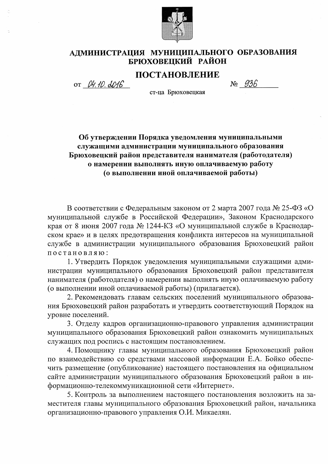

# АДМИНИСТРАЦИЯ МУНИЦИПАЛЬНОГО ОБРАЗОВАНИЯ БРЮХОВЕЦКИЙ РАЙОН

## ПОСТАНОВЛЕНИЕ

OT D4.10.0016

 $N_2$  936 ст-ца Брюховецкая

Об утверждении Порядка уведомления муниципальными служащими администрации муниципального образования Брюховецкий район представителя нанимателя (работодателя) о намерении выполнять иную оплачиваемую работу (о выполнении иной оплачиваемой работы)

В соответствии с Федеральным законом от 2 марта 2007 года № 25-ФЗ «О муниципальной службе в Российской Федерации», Законом Краснодарского края от 8 июня 2007 года № 1244-КЗ «О муниципальной службе в Краснодарском крае» и в целях предотвращения конфликта интересов на муниципальной службе в администрации муниципального образования Брюховецкий район постановляю:

1. Утвердить Порядок уведомления муниципальными служащими администрации муниципального образования Брюховецкий район представителя нанимателя (работодателя) о намерении выполнять иную оплачиваемую работу (о выполнении иной оплачиваемой работы) (прилагается).

2. Рекомендовать главам сельских поселений муниципального образования Брюховецкий район разработать и утвердить соответствующий Порядок на уровне поселений.

3. Отделу кадров организационно-правового управления администрации муниципального образования Брюховецкий район ознакомить муниципальных служащих под роспись с настоящим постановлением.

4. Помощнику главы муниципального образования Брюховецкий район по взаимодействию со средствами массовой информации Е.А. Бойко обеспечить размещение (опубликование) настоящего постановления на официальном сайте администрации муниципального образования Брюховецкий район в информационно-телекоммуникационной сети «Интернет».

5. Контроль за выполнением настоящего постановления возложить на заместителя главы муниципального образования Брюховецкий район, начальника организационно-правового управления О.И. Микаелян.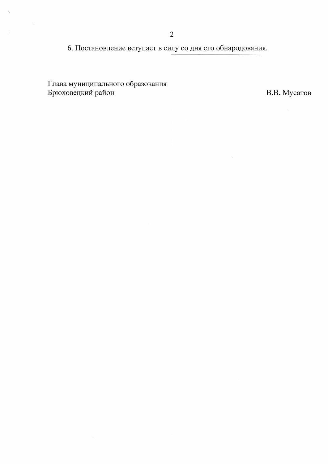6. Постановление вступает в силу со дня его обнародования.

Глава муниципального образования<br>Брюховецкий район

 $z_{\rm e}$ 

 $\bar{\nu}$ 

 $\sim 10$ 

В.В. Мусатов

 $\frac{1}{2}$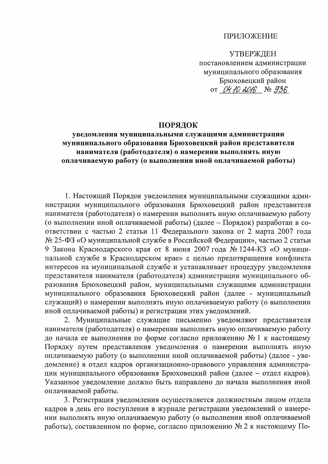## **ПРИЛОЖЕНИЕ**

**УТВЕРЖДЕН** постановлением администрации муниципального образования Брюховецкий район от 04.10. 2016 № 936

## ПОРЯДОК

## уведомления муниципальными служащими администрации муниципального образования Брюховецкий район представителя нанимателя (работодателя) о намерении выполнять иную оплачиваемую работу (о выполнении иной оплачиваемой работы)

1. Настоящий Порядок уведомления муниципальными служащими администрации муниципального образования Брюховецкий район представителя нанимателя (работодателя) о намерении выполнять иную оплачиваемую работу (о выполнении иной оплачиваемой работы) (далее - Порядок) разработан в соответствии с частью 2 статьи 11 Федерального закона от 2 марта 2007 года № 25-ФЗ «О муниципальной службе в Российской Федерации», частью 2 статьи 9 Закона Краснодарского края от 8 июня 2007 года № 1244-КЗ «О муниципальной службе в Краснодарском крае» с целью предотвращения конфликта интересов на муниципальной службе и устанавливает процедуру уведомления представителя нанимателя (работодателя) администрации муниципального образования Брюховецкий район, муниципальными служащими администрации муниципального образования Брюховецкий район (далее - муниципальный служащий) о намерении выполнять иную оплачиваемую работу (о выполнении иной оплачиваемой работы) и регистрации этих уведомлений.

2. Муниципальные служащие письменно уведомляют представителя нанимателя (работодателя) о намерении выполнять иную оплачиваемую работу до начала ее выполнения по форме согласно приложению № 1 к настоящему Порядку путем представления уведомления о намерении выполнять иную оплачиваемую работу (о выполнении иной оплачиваемой работы) (далее - уведомление) в отдел кадров организационно-правового управления администрации муниципального образования Брюховецкий район (далее - отдел кадров). Указанное уведомление должно быть направлено до начала выполнения иной оплачиваемой работы.

3. Регистрация уведомления осуществляется должностным лицом отдела кадров в день его поступления в журнале регистрации уведомлений о намерении выполнять иную оплачиваемую работу (о выполнении иной оплачиваемой работы), составленном по форме, согласно приложению № 2 к настоящему По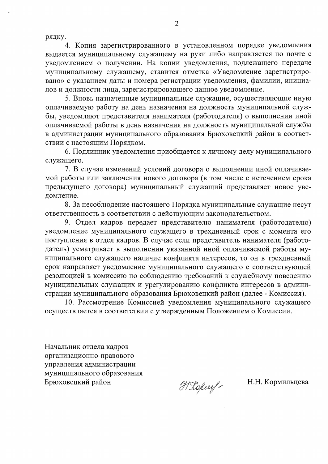рядку.

4. Копия зарегистрированного в установленном порядке уведомления выдается муниципальному служащему на руки либо направляется по почте с уведомлением о получении. На копии уведомления, подлежащего передаче муниципальному служащему, ставится отметка «Уведомление зарегистрировано» с указанием даты и номера регистрации уведомления, фамилии, инициалов и должности лица, зарегистрировавшего данное уведомление.

5. Вновь назначенные муниципальные служащие, осуществляющие иную оплачиваемую работу на день назначения на должность муниципальной службы, уведомляют представителя нанимателя (работодателя) о выполнении иной оплачиваемой работы в день назначения на должность муниципальной службы в администрации муниципального образования Брюховецкий район в соответствии с настоящим Порядком.

6. Подлинник уведомления приобщается к личному делу муниципального служащего.

7. В случае изменений условий договора о выполнении иной оплачиваемой работы или заключения нового договора (в том числе с истечением срока предыдущего договора) муниципальный служащий представляет новое уведомление.

8. За несоблюдение настоящего Порядка муниципальные служащие несут ответственность в соответствии с действующим законодательством.

9. Отдел кадров передает представителю нанимателя (работодателю) уведомление муниципального служащего в трехдневный срок с момента его поступления в отдел кадров. В случае если представитель нанимателя (работодатель) усматривает в выполнении указанной иной оплачиваемой работы муниципального служащего наличие конфликта интересов, то он в трехдневный срок направляет уведомление муниципального служащего с соответствующей резолюцией в комиссию по соблюдению требований к служебному поведению муниципальных служащих и урегулированию конфликта интересов в администрации муниципального образования Брюховецкий район (далее - Комиссия).

10. Рассмотрение Комиссией уведомления муниципального служащего осуществляется в соответствии с утвержденным Положением о Комиссии.

Начальник отдела кадров организационно-правового управления администрации муниципального образования Брюховецкий район

H Roperf-

Н.Н. Кормильцева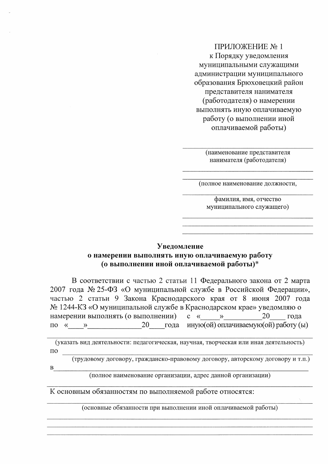## ПРИЛОЖЕНИЕ №1 к Порядку уведомления муниципальными служащими администрации муниципального образования Брюховецкий район представителя нанимателя (работодателя) о намерении выполнять иную оплачиваемую работу (о выполнении иной оплачиваемой работы)

(наименование представителя нанимателя (работодателя)

(полное наименование должности,

фамилия, имя, отчество муниципального служащего)

#### **Увеломление**

### о намерении выполнять иную оплачиваемую работу (о выполнении иной оплачиваемой работы)\*

В соответствии с частью 2 статьи 11 Федерального закона от 2 марта 2007 года № 25-ФЗ «О муниципальной службе в Российской Федерации», частью 2 статьи 9 Закона Краснодарского края от 8 июня 2007 года № 1244-КЗ «О муниципальной службе в Краснодарском крае» уведомляю о намерении выполнять (о выполнении)  $C \ll \qquad \qquad \rightarrow$ 20 года по « » 20 года иную (ой) оплачиваемую (ой) работу (ы)

(указать вид деятельности: педагогическая, научная, творческая или иная деятельность)  $\Pi$ O

(трудовому договору, гражданско-правовому договору, авторскому договору и т.п.)

(полное наименование организации, адрес данной организации)

К основным обязанностям по выполняемой работе относятся:

 $\mathbf{B}$ 

(основные обязанности при выполнении иной оплачиваемой работы)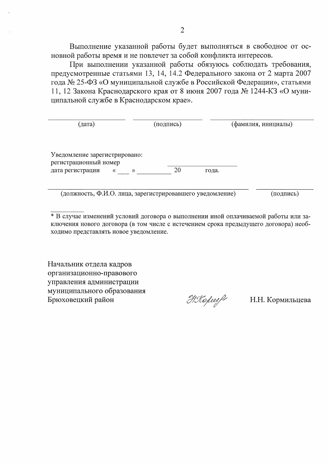Выполнение указанной работы будет выполняться в свободное от основной работы время и не повлечет за собой конфликта интересов.

При выполнении указанной работы обязуюсь соблюдать требования, предусмотренные статьями 13, 14, 14.2 Федерального закона от 2 марта 2007 года № 25-ФЗ «О муниципальной службе в Российской Федерации», статьями 11, 12 Закона Краснодарского края от 8 июня 2007 года № 1244-КЗ «О муниципальной службе в Краснодарском крае».

| (дата)                                                    | (подпись) | (фамилия, инициалы) |  |  |
|-----------------------------------------------------------|-----------|---------------------|--|--|
|                                                           |           |                     |  |  |
| Уведомление зарегистрировано:<br>регистрационный номер    |           |                     |  |  |
| дата регистрации<br>«<br>$\rightarrow$                    | 20        | года.               |  |  |
| (должность, Ф.И.О. лица, зарегистрировавшего уведомление) |           | (подпись)           |  |  |

\* В случае изменений условий договора о выполнении иной оплачиваемой работы или заключения нового договора (в том числе с истечением срока предыдущего договора) необходимо представлять новое уведомление.

Начальник отдела кадров организационно-правового управления администрации муниципального образования Брюховецкий район

HKopeel

Н.Н. Кормильцева